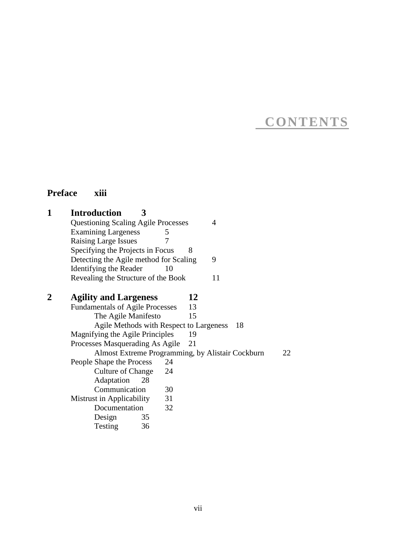## **CONTENTS**

### **Preface xiii**

| 1 | <b>Introduction</b><br>3<br><b>Questioning Scaling Agile Processes</b><br><b>Examining Largeness</b><br>5<br><b>Raising Large Issues</b><br>7<br>Specifying the Projects in Focus<br>Detecting the Agile method for Scaling<br>Identifying the Reader<br>10<br>Revealing the Structure of the Book | 4<br>8<br>9<br>11          |
|---|----------------------------------------------------------------------------------------------------------------------------------------------------------------------------------------------------------------------------------------------------------------------------------------------------|----------------------------|
| 2 | <b>Agility and Largeness</b><br><b>Fundamentals of Agile Processes</b><br>The Agile Manifesto<br>Agile Methods with Respect to Largeness<br>Magnifying the Agile Principles                                                                                                                        | 12<br>13<br>15<br>18<br>19 |
|   | Processes Masquerading As Agile<br>Almost Extreme Programming, by Alistair Cockburn<br>People Shape the Process<br>24<br><b>Culture of Change</b><br>24<br>Adaptation<br>28<br>Communication<br>30<br>Mistrust in Applicability<br>31<br>32<br>Documentation<br>Design<br>35<br>Testing<br>36      | 21<br>22                   |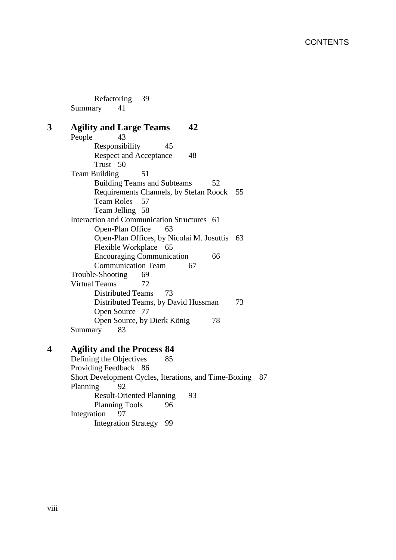Refactoring 39<br>ary 41 Summary

| 43<br>People                                |
|---------------------------------------------|
| Responsibility<br>45                        |
| <b>Respect and Acceptance</b><br>48         |
| Trust 50                                    |
| Team Building<br>51                         |
| <b>Building Teams and Subteams</b><br>52    |
| Requirements Channels, by Stefan Roock 55   |
| <b>Team Roles</b><br>57                     |
| Team Jelling 58                             |
| Interaction and Communication Structures 61 |
| Open-Plan Office<br>63                      |
| Open-Plan Offices, by Nicolai M. Josuttis   |
| Flexible Workplace 65                       |
| <b>Encouraging Communication</b><br>66      |
| <b>Communication Team</b><br>67             |
| Trouble-Shooting<br>69                      |
| <b>Virtual Teams</b><br>72                  |
| <b>Distributed Teams</b><br>73              |
| Distributed Teams, by David Hussman         |
| Open Source 77                              |
| Open Source, by Dierk König<br>78           |
| Summary<br>83                               |

# **4 Agility and the Process 84**

Defining the Objectives Providing Feedback 86 Short Development Cycles, Iterations, and Time-Boxing 87<br>Planning 92 Planning Result-Oriented Planning 93<br>Planning Tools 96 Planning Tools<br>tion 97 Integration Integration Strategy 99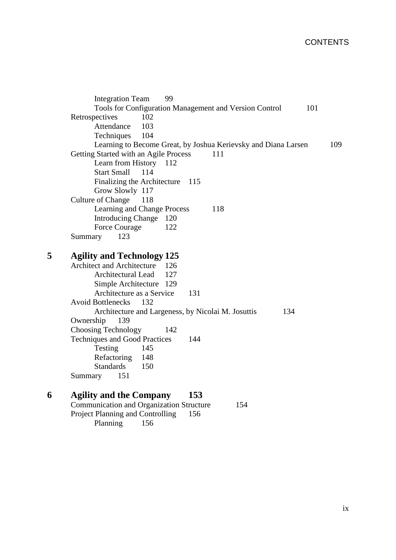### **CONTENTS**

|   | 99<br><b>Integration Team</b>                                  |     |
|---|----------------------------------------------------------------|-----|
|   | Tools for Configuration Management and Version Control<br>101  |     |
|   | Retrospectives<br>102                                          |     |
|   | Attendance<br>103                                              |     |
|   | 104<br>Techniques                                              |     |
|   | Learning to Become Great, by Joshua Kerievsky and Diana Larsen | 109 |
|   | Getting Started with an Agile Process<br>111                   |     |
|   | Learn from History 112                                         |     |
|   | <b>Start Small</b><br>114                                      |     |
|   | Finalizing the Architecture<br>115                             |     |
|   | Grow Slowly 117                                                |     |
|   | <b>Culture of Change</b><br>118                                |     |
|   | Learning and Change Process<br>118                             |     |
|   | Introducing Change 120                                         |     |
|   | <b>Force Courage</b><br>122                                    |     |
|   | 123<br>Summary                                                 |     |
|   |                                                                |     |
| 5 | <b>Agility and Technology 125</b>                              |     |
|   | <b>Architect and Architecture</b><br>126                       |     |
|   | 127<br>Architectural Lead                                      |     |
|   | Simple Architecture 129                                        |     |
|   | Architecture as a Service<br>131                               |     |
|   | <b>Avoid Bottlenecks</b><br>132                                |     |
|   | Architecture and Largeness, by Nicolai M. Josuttis<br>134      |     |
|   | Ownership<br>139                                               |     |
|   | <b>Choosing Technology</b><br>142<br>144                       |     |
|   | <b>Techniques and Good Practices</b>                           |     |
|   | Testing<br>145<br>148                                          |     |
|   | Refactoring<br><b>Standards</b><br>150                         |     |
|   | 151                                                            |     |
|   | Summary                                                        |     |
| 6 | <b>Agility and the Company</b><br>153                          |     |
|   | <b>Communication and Organization Structure</b><br>154         |     |
|   | Project Planning and Controlling<br>156                        |     |
|   | 156                                                            |     |
|   | Planning                                                       |     |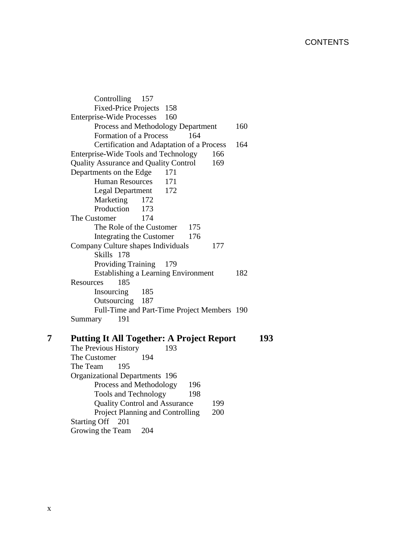Controlling 157 Fixed-Price Projects 158 Enterprise-Wide Processes 160 Process and Methodology Department 160 Formation of a Process 164 Certification and Adaptation of a Process 164 Enterprise-Wide Tools and Technology 166 Quality Assurance and Quality Control 169 Departments on the Edge 171 Human Resources 171 Legal Department 172 Marketing 172 Production 173 The Customer 174 The Role of the Customer 175 Integrating the Customer 176 Company Culture shapes Individuals 177 Skills 178 Providing Training 179 Establishing a Learning Environment 182 Resources 185 Insourcing 185 Outsourcing 187 Full-Time and Part-Time Project Members 190 Summary 191

#### **7 Putting It All Together: A Project Report 193** The Previous History 193 The Customer 194 The Team 195 Organizational Departments 196 Process and Methodology 196 Tools and Technology 198 Quality Control and Assurance 199 Project Planning and Controlling 200 Starting Off 201 Growing the Team 204